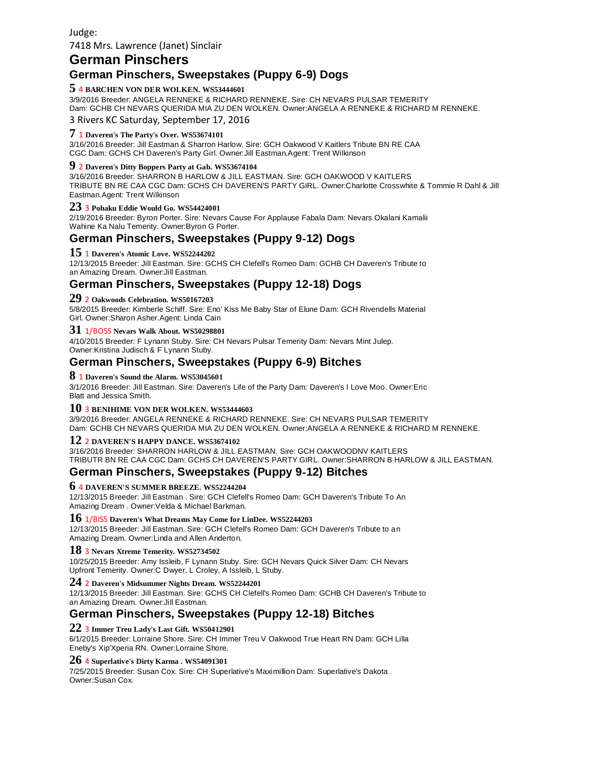# **German Pinschers**

# **German Pinschers, Sweepstakes (Puppy 6**‐**9) Dogs**

## **5** <sup>4</sup>**BARCHEN VON DER WOLKEN. WS53444601**

3/9/2016 Breeder: ANGELA RENNEKE & RICHARD RENNEKE. Sire: CH NEVARS PULSAR TEMERITY Dam: GCHB CH NEVARS QUERIDA MIA ZU DEN WOLKEN. Owner:ANGELA A RENNEKE & RICHARD M RENNEKE. 3 Rivers KC Saturday, September 17, 2016

## **7** <sup>1</sup>**Daveren's The Party's Over. WS53674101**

3/16/2016 Breeder: Jill Eastman & Sharron Harlow. Sire: GCH Oakwood V Kaitlers Tribute BN RE CAA CGC Dam: GCHS CH Daveren's Party Girl. Owner:Jill Eastman.Agent: Trent Wilkinson

#### **9** <sup>2</sup>**Daveren's Ditty Boppers Party at Gab. WS53674104**

3/16/2016 Breeder: SHARRON B HARLOW & JILL EASTMAN. Sire: GCH OAKWOOD V KAITLERS TRIBUTE BN RE CAA CGC Dam: GCHS CH DAVEREN'S PARTY GIRL. Owner:Charlotte Crosswhite & Tommie R Dahl & Jill Eastman.Agent: Trent Wilkinson

#### **23** <sup>3</sup>**Pohaku Eddie Would Go. WS54424001**

2/19/2016 Breeder: Byron Porter. Sire: Nevars Cause For Applause Fabala Dam: Nevars Okalani Kamalii Wahine Ka Nalu Temerity. Owner:Byron G Porter.

# **German Pinschers, Sweepstakes (Puppy 9**‐**12) Dogs**

#### **15** <sup>1</sup>**Daveren's Atomic Love. WS52244202**

12/13/2015 Breeder: Jill Eastman. Sire: GCHS CH Clefell's Romeo Dam: GCHB CH Daveren's Tribute to an Amazing Dream. Owner:Jill Eastman.

## **German Pinschers, Sweepstakes (Puppy 12**‐**18) Dogs**

#### **29** <sup>2</sup>**Oakwoods Celebration. WS50167203**

5/8/2015 Breeder: Kimberle Schiff. Sire: Eno' Kiss Me Baby Star of Elune Dam: GCH Rivendells Material Girl. Owner:Sharon Asher.Agent: Linda Cain

### **31** 1/BOSS **Nevars Walk About. WS50298801**

4/10/2015 Breeder: F Lynann Stuby. Sire: CH Nevars Pulsar Temerity Dam: Nevars Mint Julep. Owner:Kristina Judisch & F Lynann Stuby.

# **German Pinschers, Sweepstakes (Puppy 6**‐**9) Bitches**

#### **8** <sup>1</sup>**Daveren's Sound the Alarm. WS53045601**

3/1/2016 Breeder: Jill Eastman. Sire: Daveren's Life of the Party Dam: Daveren's I Love Moo. Owner:Eric Blatt and Jessica Smith.

#### **10** <sup>3</sup>**BENIHIME VON DER WOLKEN. WS53444603**

3/9/2016 Breeder: ANGELA RENNEKE & RICHARD RENNEKE. Sire: CH NEVARS PULSAR TEMERITY Dam: GCHB CH NEVARS QUERIDA MIA ZU DEN WOLKEN. Owner:ANGELA A RENNEKE & RICHARD M RENNEKE.

### **12** <sup>2</sup>**DAVEREN'S HAPPY DANCE. WS53674102**

3/16/2016 Breeder: SHARRON HARLOW & JILL EASTMAN. Sire: GCH OAKWOODNV KAITLERS TRIBUTR BN RE CAA CGC Dam: GCHS CH DAVEREN'S PARTY GIRL. Owner:SHARRON B HARLOW & JILL EASTMAN.

# **German Pinschers, Sweepstakes (Puppy 9**‐**12) Bitches**

#### **6** <sup>4</sup>**DAVEREN'S SUMMER BREEZE. WS52244204**

12/13/2015 Breeder: Jill Eastman . Sire: GCH Clefell's Romeo Dam: GCH Daveren's Tribute To An Amazing Dream . Owner:Velda & Michael Barkman.

#### **16** 1/BISS **Daveren's What Dreams May Come for LinDee. WS52244203**

12/13/2015 Breeder: Jill Eastman. Sire: GCH Clefell's Romeo Dam: GCH Daveren's Tribute to an Amazing Dream. Owner:Linda and Allen Anderton.

#### **18** <sup>3</sup>**Nevars Xtreme Temerity. WS52734502**

10/25/2015 Breeder: Amy Issleib, F Lynann Stuby. Sire: GCH Nevars Quick Silver Dam: CH Nevars Upfront Temerity. Owner:C Dwyer, L Croley, A Issleib, L Stuby.

### **24** <sup>2</sup>**Daveren's Midsummer Nights Dream. WS52244201**

12/13/2015 Breeder: Jill Eastman. Sire: GCHS CH Clefell's Romeo Dam: GCHB CH Daveren's Tribute to an Amazing Dream. Owner:Jill Eastman.

# **German Pinschers, Sweepstakes (Puppy 12**‐**18) Bitches**

#### **22** <sup>3</sup>**Immer Treu Lady's Last Gift. WS50412901**

6/1/2015 Breeder: Lorraine Shore. Sire: CH Immer Treu V Oakwood True Heart RN Dam: GCH Lilla Eneby's Xip'Xperia RN. Owner:Lorraine Shore.

#### **26** <sup>4</sup>**Superlative's Dirty Karma . WS54091301**

7/25/2015 Breeder: Susan Cox. Sire: CH Superlative's Maximillion Dam: Superlative's Dakota . Owner:Susan Cox.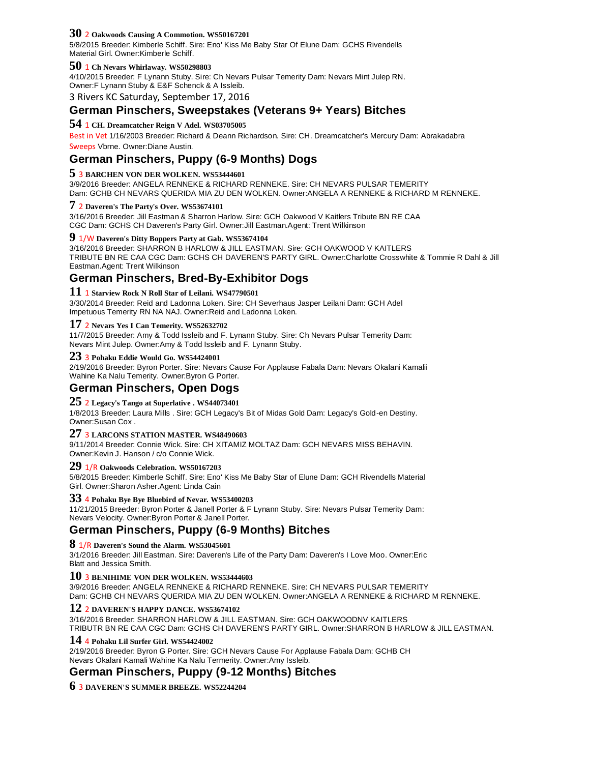#### **30** <sup>2</sup>**Oakwoods Causing A Commotion. WS50167201**

5/8/2015 Breeder: Kimberle Schiff. Sire: Eno' Kiss Me Baby Star Of Elune Dam: GCHS Rivendells Material Girl. Owner:Kimberle Schiff.

#### **50** <sup>1</sup>**Ch Nevars Whirlaway. WS50298803**

4/10/2015 Breeder: F Lynann Stuby. Sire: Ch Nevars Pulsar Temerity Dam: Nevars Mint Julep RN. Owner:F Lynann Stuby & E&F Schenck & A Issleib.

3 Rivers KC Saturday, September 17, 2016

# **German Pinschers, Sweepstakes (Veterans 9+ Years) Bitches**

## **54** <sup>1</sup>**CH. Dreamcatcher Reign V Adel. WS03705005**

Best in Vet 1/16/2003 Breeder: Richard & Deann Richardson. Sire: CH. Dreamcatcher's Mercury Dam: Abrakadabra Sweeps Vbrne. Owner:Diane Austin.

# **German Pinschers, Puppy (6**‐**9 Months) Dogs**

### **5** <sup>3</sup>**BARCHEN VON DER WOLKEN. WS53444601**

3/9/2016 Breeder: ANGELA RENNEKE & RICHARD RENNEKE. Sire: CH NEVARS PULSAR TEMERITY Dam: GCHB CH NEVARS QUERIDA MIA ZU DEN WOLKEN. Owner:ANGELA A RENNEKE & RICHARD M RENNEKE.

#### **7** <sup>2</sup>**Daveren's The Party's Over. WS53674101**

3/16/2016 Breeder: Jill Eastman & Sharron Harlow. Sire: GCH Oakwood V Kaitlers Tribute BN RE CAA CGC Dam: GCHS CH Daveren's Party Girl. Owner:Jill Eastman.Agent: Trent Wilkinson

## **9** 1/W **Daveren's Ditty Boppers Party at Gab. WS53674104**

3/16/2016 Breeder: SHARRON B HARLOW & JILL EASTMAN. Sire: GCH OAKWOOD V KAITLERS TRIBUTE BN RE CAA CGC Dam: GCHS CH DAVEREN'S PARTY GIRL. Owner:Charlotte Crosswhite & Tommie R Dahl & Jill Eastman.Agent: Trent Wilkinson

# **German Pinschers, Bred**‐**By**‐**Exhibitor Dogs**

#### **11** <sup>1</sup>**Starview Rock N Roll Star of Leilani. WS47790501**

3/30/2014 Breeder: Reid and Ladonna Loken. Sire: CH Severhaus Jasper Leilani Dam: GCH Adel Impetuous Temerity RN NA NAJ. Owner:Reid and Ladonna Loken.

#### **17** <sup>2</sup>**Nevars Yes I Can Temerity. WS52632702**

11/7/2015 Breeder: Amy & Todd Issleib and F. Lynann Stuby. Sire: Ch Nevars Pulsar Temerity Dam: Nevars Mint Julep. Owner:Amy & Todd Issleib and F. Lynann Stuby.

#### **23** <sup>3</sup>**Pohaku Eddie Would Go. WS54424001**

2/19/2016 Breeder: Byron Porter. Sire: Nevars Cause For Applause Fabala Dam: Nevars Okalani Kamalii Wahine Ka Nalu Temerity. Owner:Byron G Porter.

# **German Pinschers, Open Dogs**

## **25** <sup>2</sup>**Legacy's Tango at Superlative . WS44073401**

1/8/2013 Breeder: Laura Mills . Sire: GCH Legacy's Bit of Midas Gold Dam: Legacy's Gold-en Destiny. Owner:Susan Cox .

#### **27** <sup>3</sup>**LARCONS STATION MASTER. WS48490603**

9/11/2014 Breeder: Connie Wick. Sire: CH XITAMIZ MOLTAZ Dam: GCH NEVARS MISS BEHAVIN. Owner:Kevin J. Hanson / c/o Connie Wick.

#### **29** 1/R **Oakwoods Celebration. WS50167203**

5/8/2015 Breeder: Kimberle Schiff. Sire: Eno' Kiss Me Baby Star of Elune Dam: GCH Rivendells Material Girl. Owner:Sharon Asher.Agent: Linda Cain

## **33** <sup>4</sup>**Pohaku Bye Bye Bluebird of Nevar. WS53400203**

11/21/2015 Breeder: Byron Porter & Janell Porter & F Lynann Stuby. Sire: Nevars Pulsar Temerity Dam: Nevars Velocity. Owner:Byron Porter & Janell Porter.

# **German Pinschers, Puppy (6**‐**9 Months) Bitches**

## **8** 1/R **Daveren's Sound the Alarm. WS53045601**

3/1/2016 Breeder: Jill Eastman. Sire: Daveren's Life of the Party Dam: Daveren's I Love Moo. Owner:Eric Blatt and Jessica Smith.

#### **10** <sup>3</sup>**BENIHIME VON DER WOLKEN. WS53444603**

3/9/2016 Breeder: ANGELA RENNEKE & RICHARD RENNEKE. Sire: CH NEVARS PULSAR TEMERITY Dam: GCHB CH NEVARS QUERIDA MIA ZU DEN WOLKEN. Owner:ANGELA A RENNEKE & RICHARD M RENNEKE.

#### **12** <sup>2</sup>**DAVEREN'S HAPPY DANCE. WS53674102**

3/16/2016 Breeder: SHARRON HARLOW & JILL EASTMAN. Sire: GCH OAKWOODNV KAITLERS TRIBUTR BN RE CAA CGC Dam: GCHS CH DAVEREN'S PARTY GIRL. Owner:SHARRON B HARLOW & JILL EASTMAN.

#### **14** <sup>4</sup>**Pohaku Lil Surfer Girl. WS54424002**

2/19/2016 Breeder: Byron G Porter. Sire: GCH Nevars Cause For Applause Fabala Dam: GCHB CH Nevars Okalani Kamali Wahine Ka Nalu Termerity. Owner:Amy Issleib.

# **German Pinschers, Puppy (9**‐**12 Months) Bitches**

**6** 3 **DAVEREN'S SUMMER BREEZE. WS52244204**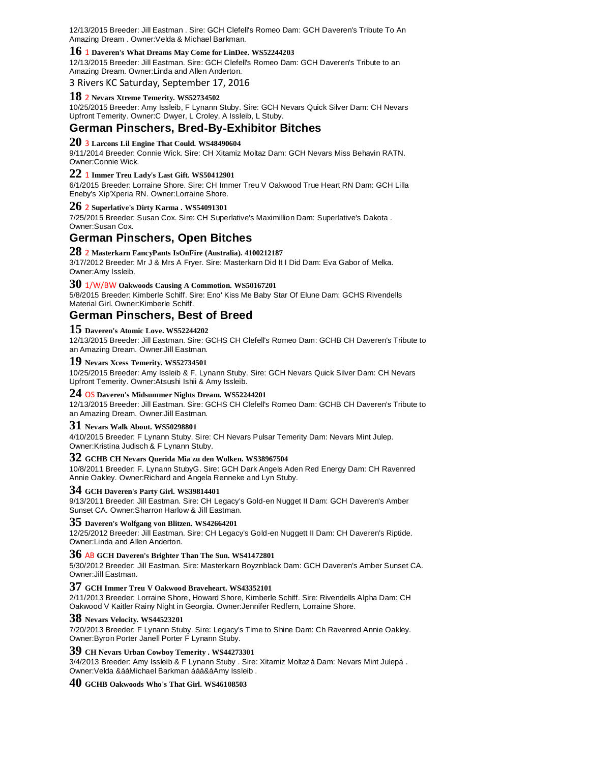12/13/2015 Breeder: Jill Eastman . Sire: GCH Clefell's Romeo Dam: GCH Daveren's Tribute To An Amazing Dream . Owner:Velda & Michael Barkman.

## **16** <sup>1</sup>**Daveren's What Dreams May Come for LinDee. WS52244203**

12/13/2015 Breeder: Jill Eastman. Sire: GCH Clefell's Romeo Dam: GCH Daveren's Tribute to an Amazing Dream. Owner:Linda and Allen Anderton.

3 Rivers KC Saturday, September 17, 2016

#### **18** <sup>2</sup>**Nevars Xtreme Temerity. WS52734502**

10/25/2015 Breeder: Amy Issleib, F Lynann Stuby. Sire: GCH Nevars Quick Silver Dam: CH Nevars Upfront Temerity. Owner:C Dwyer, L Croley, A Issleib, L Stuby.

## **German Pinschers, Bred**‐**By**‐**Exhibitor Bitches**

## **20** <sup>3</sup>**Larcons Lil Engine That Could. WS48490604**

9/11/2014 Breeder: Connie Wick. Sire: CH Xitamiz Moltaz Dam: GCH Nevars Miss Behavin RATN. Owner:Connie Wick.

## **22** <sup>1</sup>**Immer Treu Lady's Last Gift. WS50412901**

6/1/2015 Breeder: Lorraine Shore. Sire: CH Immer Treu V Oakwood True Heart RN Dam: GCH Lilla Eneby's Xip'Xperia RN. Owner:Lorraine Shore.

#### **26** <sup>2</sup>**Superlative's Dirty Karma . WS54091301**

7/25/2015 Breeder: Susan Cox. Sire: CH Superlative's Maximillion Dam: Superlative's Dakota . Owner:Susan Cox.

## **German Pinschers, Open Bitches**

**28** <sup>2</sup>**Masterkarn FancyPants IsOnFire (Australia). 4100212187**

3/17/2012 Breeder: Mr J & Mrs A Fryer. Sire: Masterkarn Did It I Did Dam: Eva Gabor of Melka. Owner:Amy Issleib.

## **30** 1/W/BW **Oakwoods Causing A Commotion. WS50167201**

5/8/2015 Breeder: Kimberle Schiff. Sire: Eno' Kiss Me Baby Star Of Elune Dam: GCHS Rivendells Material Girl. Owner:Kimberle Schiff.

### **German Pinschers, Best of Breed**

#### **15 Daveren's Atomic Love. WS52244202**

12/13/2015 Breeder: Jill Eastman. Sire: GCHS CH Clefell's Romeo Dam: GCHB CH Daveren's Tribute to an Amazing Dream. Owner:Jill Eastman.

#### **19 Nevars Xcess Temerity. WS52734501**

10/25/2015 Breeder: Amy Issleib & F. Lynann Stuby. Sire: GCH Nevars Quick Silver Dam: CH Nevars Upfront Temerity. Owner:Atsushi Ishii & Amy Issleib.

### **24** OS **Daveren's Midsummer Nights Dream. WS52244201**

12/13/2015 Breeder: Jill Eastman. Sire: GCHS CH Clefell's Romeo Dam: GCHB CH Daveren's Tribute to an Amazing Dream. Owner:Jill Eastman.

#### **31 Nevars Walk About. WS50298801**

4/10/2015 Breeder: F Lynann Stuby. Sire: CH Nevars Pulsar Temerity Dam: Nevars Mint Julep. Owner:Kristina Judisch & F Lynann Stuby.

## **32 GCHB CH Nevars Querida Mia zu den Wolken. WS38967504**

10/8/2011 Breeder: F. Lynann StubyG. Sire: GCH Dark Angels Aden Red Energy Dam: CH Ravenred Annie Oakley. Owner:Richard and Angela Renneke and Lyn Stuby.

#### **34 GCH Daveren's Party Girl. WS39814401**

9/13/2011 Breeder: Jill Eastman. Sire: CH Legacy's Gold-en Nugget II Dam: GCH Daveren's Amber Sunset CA. Owner:Sharron Harlow & Jill Eastman.

**35 Daveren's Wolfgang von Blitzen. WS42664201**

12/25/2012 Breeder: Jill Eastman. Sire: CH Legacy's Gold-en Nuggett II Dam: CH Daveren's Riptide. Owner:Linda and Allen Anderton.

### **36** AB **GCH Daveren's Brighter Than The Sun. WS41472801**

5/30/2012 Breeder: Jill Eastman. Sire: Masterkarn Boyznblack Dam: GCH Daveren's Amber Sunset CA. Owner:Jill Eastman.

#### **37 GCH Immer Treu V Oakwood Braveheart. WS43352101**

2/11/2013 Breeder: Lorraine Shore, Howard Shore, Kimberle Schiff. Sire: Rivendells Alpha Dam: CH Oakwood V Kaitler Rainy Night in Georgia. Owner:Jennifer Redfern, Lorraine Shore.

#### **38 Nevars Velocity. WS44523201**

7/20/2013 Breeder: F Lynann Stuby. Sire: Legacy's Time to Shine Dam: Ch Ravenred Annie Oakley. Owner:Byron Porter Janell Porter F Lynann Stuby.

#### **39 CH Nevars Urban Cowboy Temerity . WS44273301**

3/4/2013 Breeder: Amy Issleib & F Lynann Stuby . Sire: Xitamiz Moltazá Dam: Nevars Mint Julepá . Owner:Velda &ááMichael Barkman ááá&áAmy Issleib .

#### **40 GCHB Oakwoods Who's That Girl. WS46108503**